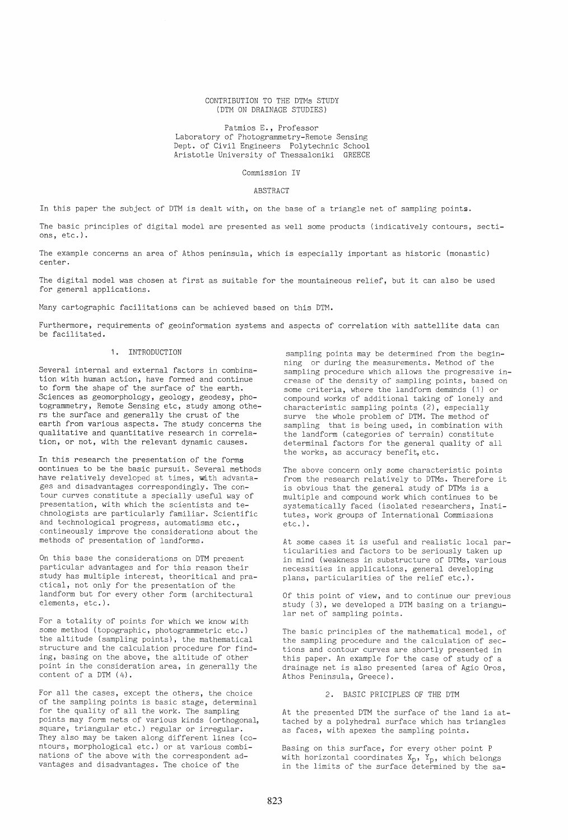# CONTRIBUTION TO THE DTMs STUDY (DTM ON DRAINAGE STUDIES)

Patmios E., Professor Laboratory of Photogrammetry-Remote Sensing Dept. of Civil Engineers Polytechnic School Aristotle University of Thessaloniki GREECE

# Commission IV

# ABSTRACT

In this paper the subject of DTM is dealt with, on the base of a triangle net of sampling points.

The basic principles of digital model are presented as well some products (indicatively contours, sections, etc.).

The example concerns an area of Athos peninsula, which is especially important as historic (monastic) center.

The digital model was chosen at first as suitable for the mountaineous relief, but it can also be used for general applications.

Many cartographic facilitations can be achieved based on this DTM.

Furthermore, requirements of geoinformation systems and aspects of correlation with sattellite data can be facilitated.

# 1. INTRODUCTION

Several internal and external factors in combination with human action, have formed and continue to form the shape of the surface of the earth. Sciences as geomorphology, geology, geodesy, photogrammetry, Remote Sensing etc, study among others the surface and generally the crust of the earth from various aspects. The study concerns the qualitative and quantitative research in correlation, or not, with the relevant dynamic causes.

In this research the presentation of the forms oontinues to be the basic pursuit. Several methods have relatively developed at times, with advantages and disadvantages correspondingly. The contour curves constitute a specially useful way of presentation, with which the scientists and technologists are particularly familiar. Scientific and technological progress, automatisms etc., contineously improve the considerations about the methods of presentation of landforms.

On this base the considerations on DTM present particular advantages and for this reason their study has multiple interest, theoritical and practical, not only for the presentation of the landform but for every other form (architectural elements, etc.).

For a totality of points for which we know with some method (topographic, photogrammetric etc.) the altitude (sampling points), the mathematical structure and the calculation procedure for finding, basing on the above, the altitude of other point in the consideration area, in generally the content of a DTM (4).

For all the cases, except the others, the choice of the sampling points is basic stage, determinal for the quality of all the work. The sampling points may form nets of various kinds (orthogonal, square, triangular etc.) regular or irregular. They also may be taken along different lines (contours, morphological etc.) or at various combinations of the above with the correspondent advantages and disadvantages. The choice of the

sampling points may be determined from the beginning or during the measurements. Method of the sampling procedure which allows the progressive increase of the density of sampling points, based on some criteria, where the landform demands (1) or compound works of additional taking of lonely and characteristic sampling points (2), especially surve the whole problem of DTM. The method of sampling that is being used, in combination with the landform (categories of terrain) constitute determinal factors for the general quality of all the works, as accuracy benefit, etc.

The above concern only some characteristic points from the research relatively to DTMs. Therefore it is obvious that the general study of DTMs is a multiple and compound work which continues to be systematically faced (isolated researchers, Institutes, work groups of International Commissions etc.) .

At some cases it is useful and realistic local particularities and factors to be seriously taken up in mind (weakness in substructure of DTMs, various necessities in applications, general developing plans, particularities of the relief etc.).

Of this point of view, and to continue our previous study (3), we developed a DTM basing on a triangular net of sampling points.

The basic principles of the mathematical model, of the sampling procedure and the calculation of sections and contour curves are shortly presented in this paper. An example for the case of study of a drainage net is also presented (area of Agio Oros, Athos Peninsula, Greece).

# 2. BASIC PRICIPLES OF THE DTM

At the presented DTM the surface of the land is attached by a polyhedral surface which has triangles as faces, with apexes the sampling points.

Basing on this surface, for every other point P with horizontal coordinates  $X_p$ ,  $Y_p$ , which belongs in the limits of the surface determined by the sa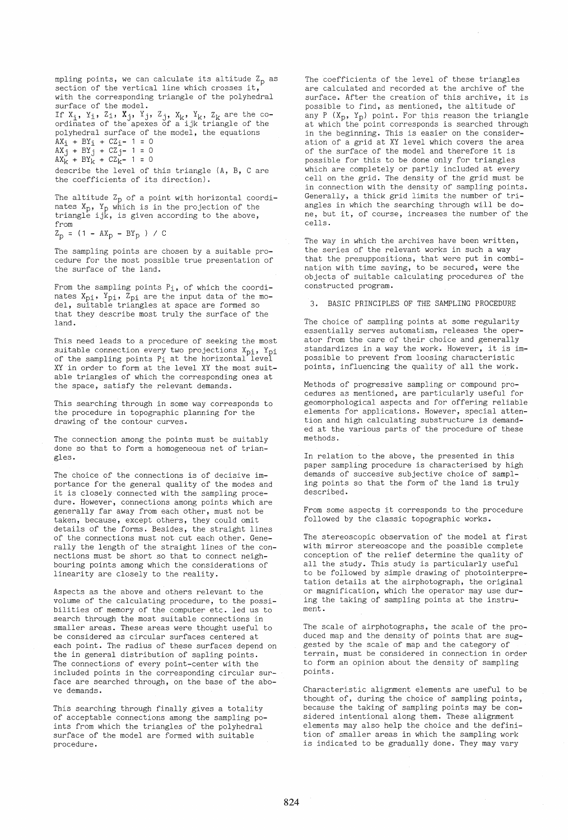mpling points, we can calculate its altitude  $Z_p$  as section of the vertical line which crosses it, with the corresponding triangle of the polyhedral surface of the model.

If  $X_i$ ,  $Y_i$ ,  $Z_i$ ,  $X_j$ ,  $Y_j$ ,  $Z_j$ ,  $X_k$ ,  $Y_k$ ,  $Z_k$  are the co-ordinates of the apexes of a ijk triangle of the polyhedral surface of the model, the equations

 $AX_i + BY_i + CZ_i - 1 = 0$  $AX_j + BY_j + CZ_{j-} 1 = 0$ 

 $AX_{k} + BY_{k} + CZ_{k} - 1 = 0$ 

describe the level of this triangle (A, B, Care the coefficients of its direction).

The altitude  $Z_p$  of a point with horizontal coordinates X<sub>p</sub>, Y<sub>p</sub> which is in the projection of the<br>triangle ijk, is given according to the above, from

 $Z_{p}$  = (1 -  $AX_{p}$  -  $BY_{p}$  ) / C

The sampling points are chosen by a suitable procedure for the most possible true presentation of the surface of the land.

From the sampling points P<sub>1</sub>, of which the coordinates  $X_{pi}$ ,  $Y_{pi}$ ,  $Z_{pi}$  are the input data of the mo- del, suitable triangles at space are formed so that they describe most truly the surface of the land.

This need leads to a procedure of seeking the most suitable connection every two projections  $\texttt{X}_{\texttt{Di}},~\texttt{Y}_{\texttt{Di}}$ of the sampling points  $P_1$  at the horizontal level XY in order to form at the level XY the most suitable triangles of which the corresponding ones at the space, satisfy the relevant demands.

This searching through in some way corresponds to the procedure in topographic planning for the drawing of the contour curves.

The connection among the points must be suitably done so that to form a homogeneous net of triangles.

The choice of the connections is of decisive importance for the general quality of the modes and it is closely connected with the sampling procedure. However, connections among points which are generally far away from each other, must not be taken, because, except others, they could omit details of the forms. Besides, the straight lines of the connections must not cut each other. Generally the length of the straight lines of the connections must be short so that to connect neighbouring points among which the considerations of linearity are closely to the reality.

Aspects as the above and others relevant to the volume of the calculating procedure, to the possibilities of memory of the computer etc. led us to search through the most suitable connections in smaller areas. These areas were thought useful to be considered as circular surfaces centered at each point. The radius of these surfaces depend on the in general distribution of sapling points. The connections of every point-center with the included points in the corresponding circular surface are searched through, on the base of the above demands.

This searching through finally gives a totality of acceptable connections among the sampling points from which the triangles of the polyhedral surface of the model are formed with suitable procedure.

The coefficients of the level of these triangles are calculated and recorded at the archive of the surface. After the creation of this archive, it is possible to find, as mentioned, the altitude of any P  $(X_p, Y_p)$  point. For this reason the triangle at which the point corresponds is searched through in the beginning. This is easier on the consideration of a grid at XY level which covers the area of the surface of the model and therefore it is possible for this to be done only for triangles which are completely or partly included at every cell on the grid. The density of the grid must be in connection with the density of sampling points. Generally, a thick grid limits the number of triangles in which the searching through will be done, but it, of course, increases the number of the cells.

The way in which the archives have been written, the series of the relevant works in such a way that the presuppositions, that were put in combination with time saving, to be secured, were the objects of suitable calculating procedures of the constructed program.

3. BASIC PRINCIPLES OF THE SAMPLING PROCEDURE

The choice of sampling points at some regularity essentially serves automatism, releases the operator from the care of their choice and generally standardizes in a way the work. However, it is impossible to prevent from loosing characteristic points, influencing the quality of all the work.

Methods of progressive sampling or compound procedures as mentioned, are particularly useful for geomorphological aspects and for offering reliable elements for applications. However, special attention and high calculating substructure is demanded at the various parts of the procedure of these methods.

In relation to the above, the presented in this paper sampling procedure is characterised by high demands of succesive subjective choice of sampling points so that the form of the land is truly described.

From some aspects it corresponds to the procedure followed by the classic topographic works.

The stereoscopic observation of the model at first with mirror stereoscope and the possible complete conception of the relief determine the quality of all the study. This study is particularly useful to be followed by simple drawing of photointerpretation details at the airphotograph, the original or magnification, which the operator may use during the taking of sampling points at the instrument.

The scale of airphotographs, the scale of the produced map and the density of points that are suggested by the scale of map and the category of terrain, must be considered in connection in order to form an opinion about the density of sampling points.

Characteristic alignment elements are useful to be thought of, during the choice of sampling points, because the taking of sampling points may be considered intentional along them. These alignment elements may also help the choice and the definition of smaller areas in which the sampling work is indicated to be gradually done. They may vary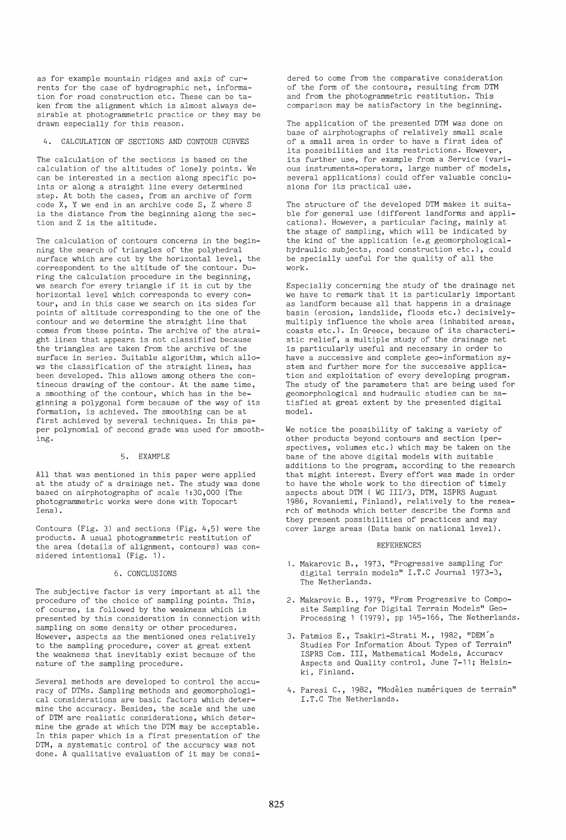as for example mountain ridges and axis of currents for the case of hydrographic net, information for road construction etc. These can be taken from the alignment which is almost always desirable at photogrammetric practice or they may be drawn especially for this reason.

# 4. CALCULATION OF SECTIONS AND CONTOUR CURVES

The calculation of the sections is based on the calculation of the altitudes of lonely points. We can be interested in a section along specific points or along a straight line every determined step. At both the cases, from an archive of form code X, Y we end in an archive code S, Z where S is the distance from the beginning along the section and Z is the altitude.

The calculation of contours concerns in the beginning the search of triangles of the polyhedral surface which are cut by the horizontal level, the correspondent to the altitude of the contour. During the calculation procedure in the beginning, we search for every triangle if it is cut by the horizontal level which corresponds to every contour, and in this case we search on its sides for points of altitude corresponding to the one of the contour and we determine the straight line that comes from these points. The archive of the straight lines that appears is not classified because the triangles are taken from the archive of the surface in series. Suitable algorithm, which allows the classification of the straight lines, has been developed. This allows among others the contineous drawing of the contour. At the same time, a smoothing of the contour, which has in the beginning a polygonal form because of the way of its formation, is achieved. The smoothing can be at first achieved by several techniques. In this paper polynomial of second grade was used for smoothing.

### 5. EXAMPLE

All that was mentioned in this paper were applied at the study of a drainage net. The study was done based on airphotographs of scale 1:30,000 (The photogrammetric works were done with Topocart lena) .

Contours (Fig. 3) and sections (Fig. 4,5) were the products. A usual photogrammetric restitution of the area (details of alignment, contours) was considered intentional (Fig. 1).

#### 6. CONCLUSIONS

The subjective factor is very important at all the procedure of the choice of sampling points. This, of course, is followed by the weakness which is presented by this consideration in connection with sampling on some density or other procedures. However, aspects as the mentioned ones relatively to the sampling procedure, cover at great extent the weakness that inevitably exist because of the nature of the sampling procedure.

Several methods are developed to control the accuracy of DTMs. Sampling methods and geomorphological considerations are basic factors which determine the accuracy. Besides, the scale and the use of DTM are realistic considerations, which determine the grade at which the DTM may be acceptable. In this paper which is a first presentation of the DTM, a systematic control of the accuracy was not done. A qualitative evaluation of it may be considered to come from the comparative consideration of the form of the contours, resulting from DTM and from the photogrammetric restitution. This comparison may be satisfactory in the beginning.

The application of the presented DTM was done on base of airphotographs of relatively small scale of a small area in order to have a first idea of its possibilities and its restrictions. However, its further use, for example from a Service (various instruments-operators, large number of models, several applications) could offer valuable conclusions for its practical use.

The structure of the developed DTM makes it suitable for general use (different landforms and applications). However, a particular facing, mainly at the stage of sampling, which will be indicated by the kind of the application (e.g geomorphologicalhydraulic subjects, road construction etc.), could be specially useful for the quality of all the work.

Especially concerning the study of the drainage net we have to remark that it is particularly important as landform because all that happens in a drainage basin (erosion, landslide, floods etc.) decisivelymultiply influence the whole area (inhabited areas, coasts etc.). In Greece, because of its characteristic relief, a multiple study of the drainage net is particularly useful and necessary in order to have a successive and complete geo-information system and further more for the successive application and exploitation of every developing program. The study of the parameters that are being used for geomorphological and hudraulic studies can be satisfied at great extent by the presented digital model.

We notice the possibility of taking a variety of other products beyond contours and section (perspectives, volumes etc.) which may be taken on the base of the above digital models with suitable additions to the program, according to the research that might interest. Every effort was made in order to have the whole work to the direction of timely aspects about DTM ( WG 111/3, DTM, ISPRS August 1986, Rovaniemi, Finland), relatively to the research of methods which better describe the forms and they present possibilities of practices and may cover large areas (Data bank on national level).

#### REFERENCES

- 1. Makarovic B., 1973, "Progressive sampling for digital terrain models" I.T.C Journal 1973-3, The Netherlands.
- 2. Makarovic B., 1979, "From Progressive to Composite Sampling for Digital Terrain Models" Geo-Processing 1 (1979), pp 145-166, The Netherlands.
- 3. Patmios E., Tsakiri-Strati M., 1982, "DEM's Studies For Information About Types of Terrain" ISPRS Com. III, Mathematical Models, Accuracv Aspects and Quality control, June 7-11; Helsinki, Finland.
- 4. Paresi C., 1982, "Modèles numériques de terrain" I.T.C The Netherlands.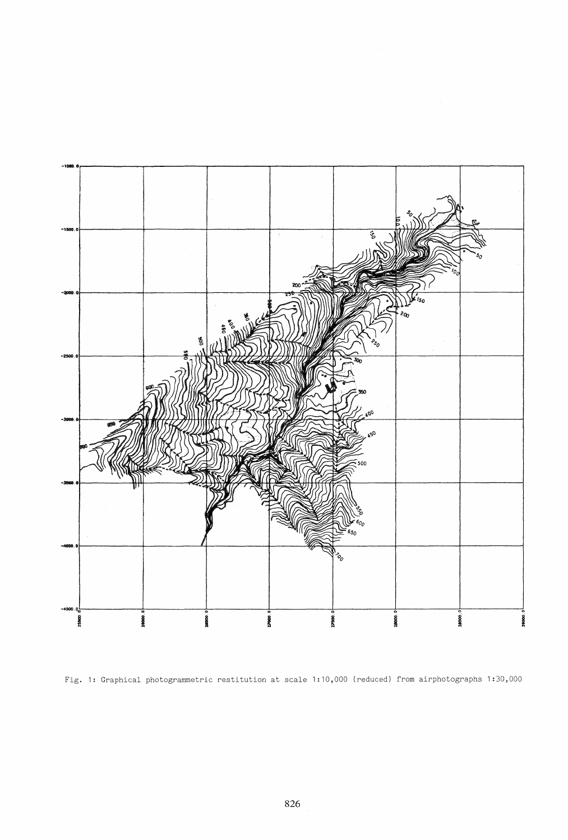

Fig. 1: Graphical photogrammetric restitution at scale 1:10,000 (reduced) from airphotographs 1:30,000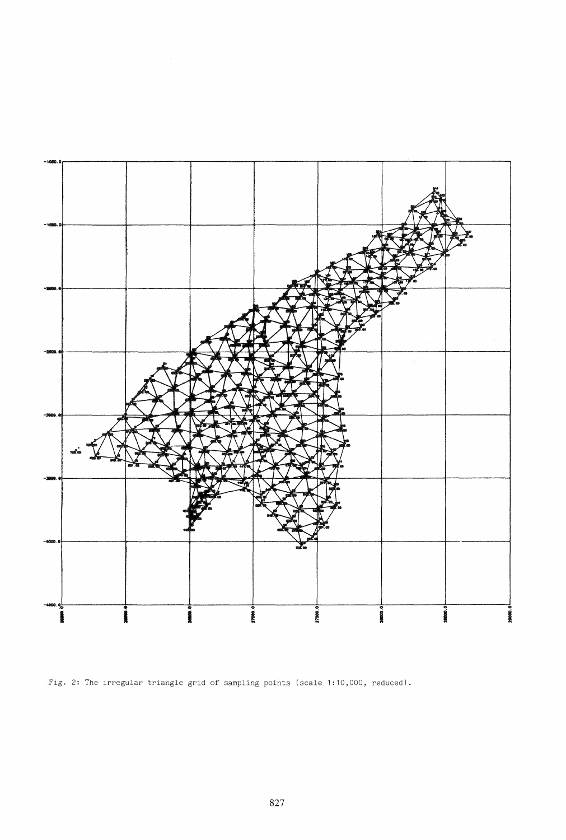

Fig. 2: The irregular triangle grid of sampling points (scale 1:10,000, reduced).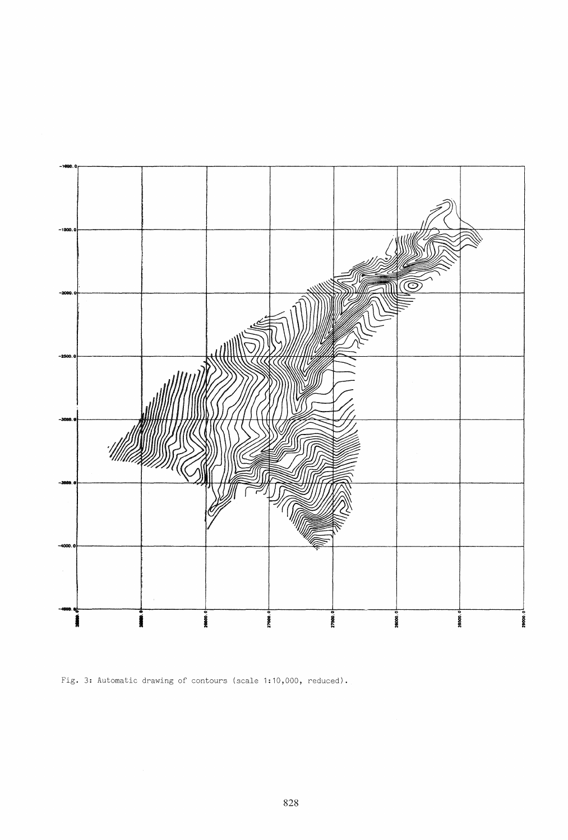

Fig. 3: Automatic drawing of contours (scale 1:10,000, reduced).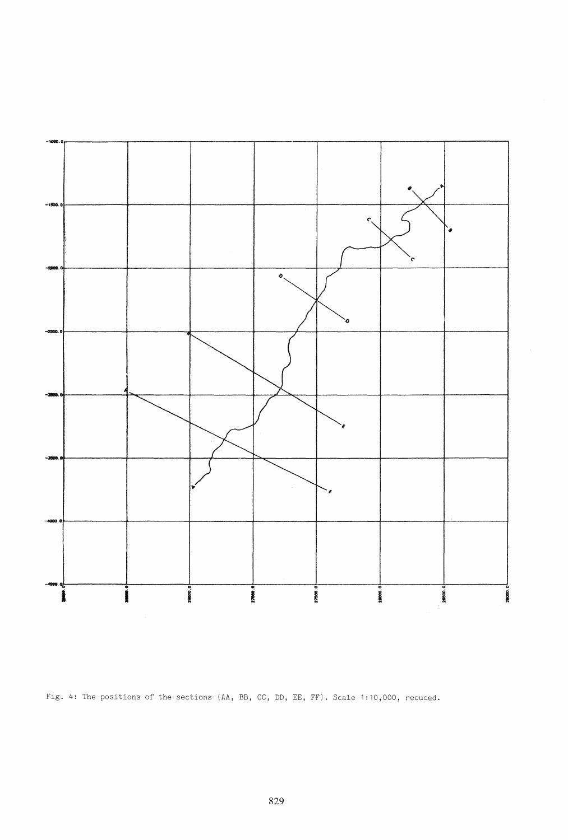

Fig. 4: The positions of the sections (AA, BB, CC, DD, EE, FF). Scale 1:10,000, recuced.